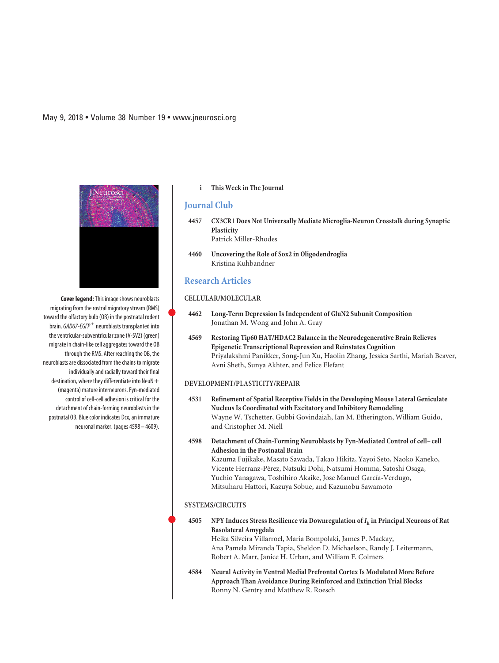**Cover legend:**This image shows neuroblasts migrating from the rostral migratory stream (RMS) toward the olfactory bulb (OB) in the postnatal rodent brain. *GAD67-EGFP*<sup>+</sup> neuroblasts transplanted into the ventricular-subventricular zone (V-SVZ) (green) migrate in chain-like cell aggregates toward the OB through the RMS. After reaching the OB, the neuroblasts are dissociated from the chains to migrate individually and radially toward their final destination, where they differentiate into NeuN $\mathrm{+}$ (magenta) mature interneurons. Fyn-mediated control of cell-cell adhesion is critical for the detachment of chain-forming neuroblasts in the postnatal OB. Blue color indicates Dcx, an immature neuronal marker. (pages 4598 – 4609).

### **i This Week in The Journal**

## **Journal Club**

- **4457 CX3CR1 Does Not Universally Mediate Microglia-Neuron Crosstalk during Synaptic Plasticity** Patrick Miller-Rhodes
- **4460 Uncovering the Role of Sox2 in Oligodendroglia** Kristina Kuhbandner

## **Research Articles**

 $\bullet$ 

 $\bullet$ 

#### **CELLULAR/MOLECULAR**

- **4462 Long-Term Depression Is Independent of GluN2 Subunit Composition** Jonathan M. Wong and John A. Gray
- **4569 Restoring Tip60 HAT/HDAC2 Balance in the Neurodegenerative Brain Relieves Epigenetic Transcriptional Repression and Reinstates Cognition** Priyalakshmi Panikker, Song-Jun Xu, Haolin Zhang, Jessica Sarthi, Mariah Beaver, Avni Sheth, Sunya Akhter, and Felice Elefant

#### **DEVELOPMENT/PLASTICITY/REPAIR**

- **4531 Refinement of Spatial Receptive Fields in the Developing Mouse Lateral Geniculate Nucleus Is Coordinated with Excitatory and Inhibitory Remodeling** Wayne W. Tschetter, Gubbi Govindaiah, Ian M. Etherington, William Guido, and Cristopher M. Niell
- **4598 Detachment of Chain-Forming Neuroblasts by Fyn-Mediated Control of cell– cell Adhesion in the Postnatal Brain** Kazuma Fujikake, Masato Sawada, Takao Hikita, Yayoi Seto, Naoko Kaneko, Vicente Herranz-Pérez, Natsuki Dohi, Natsumi Homma, Satoshi Osaga, Yuchio Yanagawa, Toshihiro Akaike, Jose Manuel García-Verdugo, Mitsuharu Hattori, Kazuya Sobue, and Kazunobu Sawamoto

#### **SYSTEMS/CIRCUITS**

| 4505 | NPY Induces Stress Resilience via Downregulation of $Ih$ in Principal Neurons of Rat                                                                  |
|------|-------------------------------------------------------------------------------------------------------------------------------------------------------|
|      | <b>Basolateral Amygdala</b>                                                                                                                           |
|      | Heika Silveira Villarroel, Maria Bompolaki, James P. Mackay,                                                                                          |
|      | Ana Pamela Miranda Tapia, Sheldon D. Michaelson, Randy J. Leitermann,                                                                                 |
|      | Robert A. Marr, Janice H. Urban, and William F. Colmers                                                                                               |
| 4584 | Neural Activity in Ventral Medial Prefrontal Cortex Is Modulated More Before<br>Approach Than Avoidance During Reinforced and Extinction Trial Blocks |
|      | Ronny N. Gentry and Matthew R. Roesch                                                                                                                 |